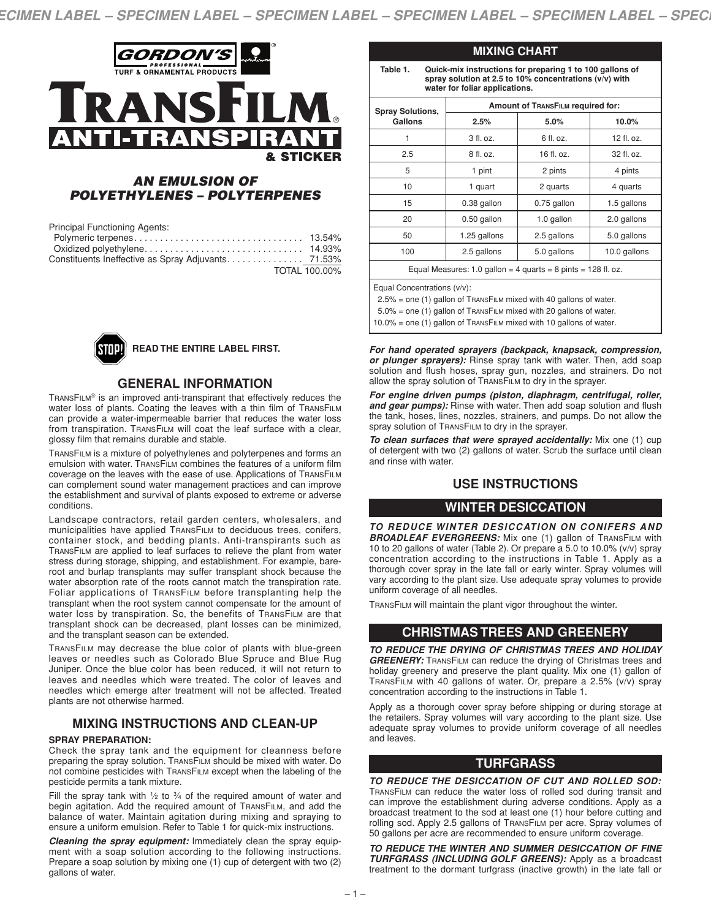

# *AN EMULSION OF POLYETHYLENES – POLYTERPENES*

| <b>Principal Functioning Agents:</b>                |  |
|-----------------------------------------------------|--|
|                                                     |  |
|                                                     |  |
| Constituents Ineffective as Spray Adjuvants. 71.53% |  |
| TOTAL 100.00%                                       |  |



#### **READ THE ENTIRE LABEL FIRST.**

#### **GENERAL INFORMATION**

TRANSFILM® is an improved anti-transpirant that effectively reduces the water loss of plants. Coating the leaves with a thin film of TRANSFILM can provide a water-impermeable barrier that reduces the water loss from transpiration. TRANSFILM will coat the leaf surface with a clear, glossy film that remains durable and stable.

TRANSFILM is a mixture of polyethylenes and polyterpenes and forms an emulsion with water. TRANSFILM combines the features of a uniform film coverage on the leaves with the ease of use. Applications of TRANSFILM can complement sound water management practices and can improve the establishment and survival of plants exposed to extreme or adverse conditions.

Landscape contractors, retail garden centers, wholesalers, and municipalities have applied TRANSFILM to deciduous trees, conifers, container stock, and bedding plants. Anti-transpirants such as TRANSFILM are applied to leaf surfaces to relieve the plant from water stress during storage, shipping, and establishment. For example, bareroot and burlap transplants may suffer transplant shock because the water absorption rate of the roots cannot match the transpiration rate. Foliar applications of TRANSFILM before transplanting help the transplant when the root system cannot compensate for the amount of water loss by transpiration. So, the benefits of TRANSFILM are that transplant shock can be decreased, plant losses can be minimized, and the transplant season can be extended.

TRANSFILM may decrease the blue color of plants with blue-green leaves or needles such as Colorado Blue Spruce and Blue Rug Juniper. Once the blue color has been reduced, it will not return to leaves and needles which were treated. The color of leaves and needles which emerge after treatment will not be affected. Treated plants are not otherwise harmed.

# **MIXING INSTRUCTIONS AND CLEAN-UP**

#### **SPRAY PREPARATION:**

Check the spray tank and the equipment for cleanness before preparing the spray solution. TRANSFILM should be mixed with water. Do not combine pesticides with TRANSFILM except when the labeling of the pesticide permits a tank mixture.

Fill the spray tank with  $1/2$  to  $3/4$  of the required amount of water and begin agitation. Add the required amount of TRANSFILM, and add the balance of water. Maintain agitation during mixing and spraying to ensure a uniform emulsion. Refer to Table 1 for quick-mix instructions.

*Cleaning the spray equipment:* Immediately clean the spray equipment with a soap solution according to the following instructions. Prepare a soap solution by mixing one (1) cup of detergent with two (2) gallons of water.

| spray solution at 2.5 to 10% concentrations (y/y) with<br>water for foliar applications. |                                          |             |              |  |
|------------------------------------------------------------------------------------------|------------------------------------------|-------------|--------------|--|
| <b>Spray Solutions,</b>                                                                  | <b>Amount of TRANSFILM required for:</b> |             |              |  |
| Gallons                                                                                  | 2.5%                                     | 5.0%        | 10.0%        |  |
|                                                                                          | 3 fl. oz.                                | $6$ fl. oz. | 12 fl. oz.   |  |
| 2.5                                                                                      | 8 fl. oz.                                | 16 fl. oz.  | 32 fl. oz.   |  |
| 5                                                                                        | 1 pint                                   | 2 pints     | 4 pints      |  |
| 10                                                                                       | 1 quart                                  | 2 quarts    | 4 quarts     |  |
| 15                                                                                       | 0.38 gallon                              | 0.75 gallon | 1.5 gallons  |  |
| 20                                                                                       | 0.50 gallon                              | 1.0 gallon  | 2.0 gallons  |  |
| 50                                                                                       | 1.25 gallons                             | 2.5 gallons | 5.0 gallons  |  |
| 100                                                                                      | 2.5 gallons                              | 5.0 gallons | 10.0 gallons |  |
| Equal Measures: 1.0 gallon = 4 quarts = 8 pints = $128$ fl. oz.                          |                                          |             |              |  |

**MIXING CHART**

ual Concentrations (v/v):

2.5% = one (1) gallon of TRANSFILM mixed with 40 gallons of water.

5.0% = one (1) gallon of TRANSFILM mixed with 20 gallons of water.

10.0% = one (1) gallon of TRANSFILM mixed with 10 gallons of water.

*For hand operated sprayers (backpack, knapsack, compression, or plunger sprayers):* Rinse spray tank with water. Then, add soap solution and flush hoses, spray gun, nozzles, and strainers. Do not allow the spray solution of TRANSFILM to dry in the sprayer.

*For engine driven pumps (piston, diaphragm, centrifugal, roller, and gear pumps):* Rinse with water. Then add soap solution and flush the tank, hoses, lines, nozzles, strainers, and pumps. Do not allow the spray solution of TRANSFILM to dry in the sprayer.

*To clean surfaces that were sprayed accidentally:* Mix one (1) cup of detergent with two (2) gallons of water. Scrub the surface until clean and rinse with water.

# **USE INSTRUCTIONS**

#### **WINTER DESICCATION**

*TO REDUCE WINTER DESICCATION ON CONIFERS AND BROADLEAF EVERGREENS:* Mix one (1) gallon of TRANSFILM with 10 to 20 gallons of water (Table 2). Or prepare a 5.0 to 10.0% (v/v) spray concentration according to the instructions in Table 1. Apply as a thorough cover spray in the late fall or early winter. Spray volumes will vary according to the plant size. Use adequate spray volumes to provide uniform coverage of all needles.

TRANSFILM will maintain the plant vigor throughout the winter.

# **CHRISTMAS TREES AND GREENERY**

*TO REDUCE THE DRYING OF CHRISTMAS TREES AND HOLIDAY* **GREENERY:** TRANSFILM can reduce the drying of Christmas trees and holiday greenery and preserve the plant quality. Mix one (1) gallon of TRANSFILM with 40 gallons of water. Or, prepare a 2.5% (v/v) spray concentration according to the instructions in Table 1.

Apply as a thorough cover spray before shipping or during storage at the retailers. Spray volumes will vary according to the plant size. Use adequate spray volumes to provide uniform coverage of all needles and leaves.

# **TURFGRASS**

*TO REDUCE THE DESICCATION OF CUT AND ROLLED SOD:* TRANSFILM can reduce the water loss of rolled sod during transit and can improve the establishment during adverse conditions. Apply as a broadcast treatment to the sod at least one (1) hour before cutting and rolling sod. Apply 2.5 gallons of TRANSFILM per acre. Spray volumes of 50 gallons per acre are recommended to ensure uniform coverage.

*TO REDUCE THE WINTER AND SUMMER DESICCATION OF FINE TURFGRASS (INCLUDING GOLF GREENS):* Apply as a broadcast treatment to the dormant turfgrass (inactive growth) in the late fall or

– 1 –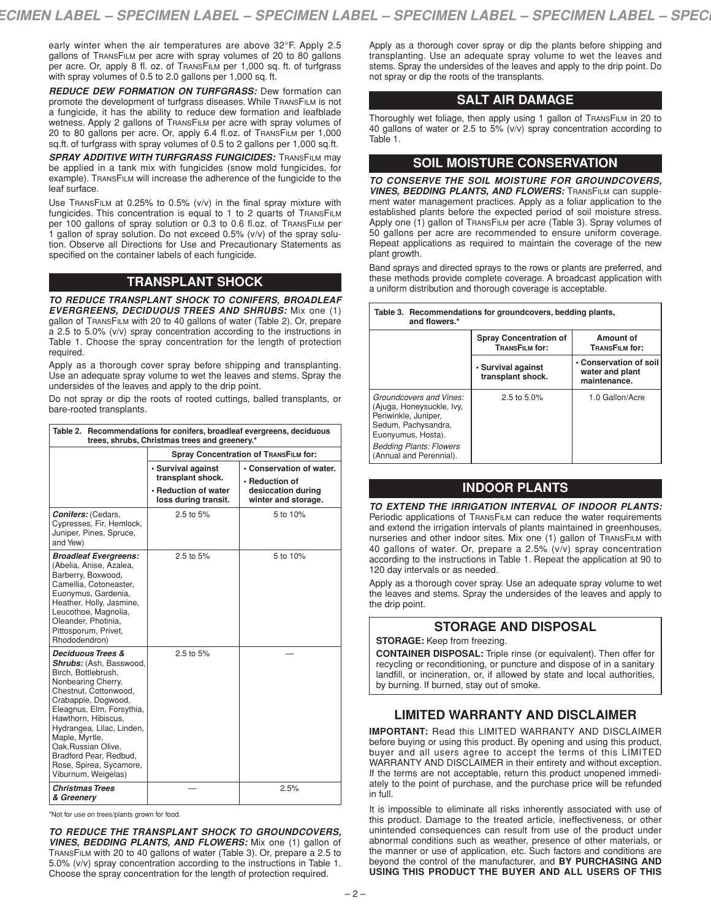early winter when the air temperatures are above 32°F. Apply 2.5 gallons of TRANSFILM per acre with spray volumes of 20 to 80 gallons per acre. Or, apply 8 fl. oz. of TRANSFILM per 1,000 sq. ft. of turfgrass with spray volumes of 0.5 to 2.0 gallons per 1,000 sq. ft.

*REDUCE DEW FORMATION ON TURFGRASS:* Dew formation can promote the development of turfgrass diseases. While TRANSFILM is not a fungicide, it has the ability to reduce dew formation and leafblade wetness. Apply 2 gallons of TRANSFILM per acre with spray volumes of 20 to 80 gallons per acre. Or, apply 6.4 fl.oz. of TRANSFILM per 1,000 sq.ft. of turfgrass with spray volumes of 0.5 to 2 gallons per 1,000 sq.ft.

*SPRAY ADDITIVE WITH TURFGRASS FUNGICIDES:* TRANSFILM may be applied in a tank mix with fungicides (snow mold fungicides, for example). TRANSFILM will increase the adherence of the fungicide to the leaf surface.

Use TRANSFILM at 0.25% to 0.5% (v/v) in the final spray mixture with fungicides. This concentration is equal to 1 to 2 quarts of TRANSFILM per 100 gallons of spray solution or 0.3 to 0.6 fl.oz. of TRANSFILM per 1 gallon of spray solution. Do not exceed 0.5% (v/v) of the spray solution. Observe all Directions for Use and Precautionary Statements as specified on the container labels of each fungicide.

# **TRANSPLANT SHOCK**

*TO REDUCE TRANSPLANT SHOCK TO CONIFERS, BROADLEAF EVERGREENS, DECIDUOUS TREES AND SHRUBS:* Mix one (1) gallon of TRANSFILM with 20 to 40 gallons of water (Table 2). Or, prepare a 2.5 to 5.0% (v/v) spray concentration according to the instructions in Table 1. Choose the spray concentration for the length of protection required.

Apply as a thorough cover spray before shipping and transplanting. Use an adequate spray volume to wet the leaves and stems. Spray the undersides of the leaves and apply to the drip point.

Do not spray or dip the roots of rooted cuttings, balled transplants, or bare-rooted transplants.

| Table 2. Recommendations for conifers, broadleaf evergreens, deciduous<br>trees, shrubs, Christmas trees and greenery.*                                                                                                                                                                                                                                    |                                                                                         |                                                                                         |  |  |  |
|------------------------------------------------------------------------------------------------------------------------------------------------------------------------------------------------------------------------------------------------------------------------------------------------------------------------------------------------------------|-----------------------------------------------------------------------------------------|-----------------------------------------------------------------------------------------|--|--|--|
|                                                                                                                                                                                                                                                                                                                                                            | <b>Spray Concentration of TRANSFILM for:</b>                                            |                                                                                         |  |  |  |
|                                                                                                                                                                                                                                                                                                                                                            | · Survival against<br>transplant shock.<br>• Reduction of water<br>loss during transit. | • Conservation of water.<br>• Reduction of<br>desiccation during<br>winter and storage. |  |  |  |
| <b>Conifers: (Cedars,</b><br>Cypresses, Fir, Hemlock,<br>Juniper, Pines, Spruce,<br>and Yew)                                                                                                                                                                                                                                                               | 2.5 to 5%                                                                               | 5 to 10%                                                                                |  |  |  |
| <b>Broadleaf Evergreens:</b><br>(Abelia, Anise, Azalea,<br>Barberry, Boxwood,<br>Camellia, Cotoneaster,<br>Euonymus, Gardenia,<br>Heather, Holly, Jasmine,<br>Leucothoe, Magnolia,<br>Oleander, Photinia,<br>Pittosporum, Privet,<br>Rhododendron)                                                                                                         | 2.5 to 5%                                                                               | 5 to 10%                                                                                |  |  |  |
| <b>Deciduous Trees &amp;</b><br>Shrubs: (Ash, Basswood,<br>Birch, Bottlebrush,<br>Nonbearing Cherry,<br>Chestnut, Cottonwood,<br>Crabapple, Dogwood,<br>Eleagnus, Elm, Forsythia,<br>Hawthorn, Hibiscus,<br>Hydrangea, Lilac, Linden,<br>Maple, Myrtle,<br>Oak, Russian Olive,<br>Bradford Pear, Redbud,<br>Rose, Spirea, Sycamore,<br>Viburnum, Weigelas) | $2.5$ to $5%$                                                                           |                                                                                         |  |  |  |
| <b>Christmas Trees</b><br>& Greenery                                                                                                                                                                                                                                                                                                                       |                                                                                         | 2.5%                                                                                    |  |  |  |

\*Not for use on trees/plants grown for food.

*TO REDUCE THE TRANSPLANT SHOCK TO GROUNDCOVERS, VINES, BEDDING PLANTS, AND FLOWERS:* Mix one (1) gallon of TRANSFILM with 20 to 40 gallons of water (Table 3). Or, prepare a 2.5 to 5.0% (v/v) spray concentration according to the instructions in Table 1. Choose the spray concentration for the length of protection required.

Apply as a thorough cover spray or dip the plants before shipping and transplanting. Use an adequate spray volume to wet the leaves and stems. Spray the undersides of the leaves and apply to the drip point. Do not spray or dip the roots of the transplants.

# **SALT AIR DAMAGE**

Thoroughly wet foliage, then apply using 1 gallon of TRANSFILM in 20 to 40 gallons of water or 2.5 to 5% (v/v) spray concentration according to Table 1.

#### **SOIL MOISTURE CONSERVATION**

*TO CONSERVE THE SOIL MOISTURE FOR GROUNDCOVERS, VINES, BEDDING PLANTS, AND FLOWERS:* TRANSFILM can supplement water management practices. Apply as a foliar application to the established plants before the expected period of soil moisture stress. Apply one (1) gallon of TRANSFILM per acre (Table 3). Spray volumes of 50 gallons per acre are recommended to ensure uniform coverage. Repeat applications as required to maintain the coverage of the new plant growth.

Band sprays and directed sprays to the rows or plants are preferred, and these methods provide complete coverage. A broadcast application with a uniform distribution and thorough coverage is acceptable.

| Table 3. Recommendations for groundcovers, bedding plants,<br>and flowers.*                                                                                                            |                                                 |                                                           |  |  |  |
|----------------------------------------------------------------------------------------------------------------------------------------------------------------------------------------|-------------------------------------------------|-----------------------------------------------------------|--|--|--|
|                                                                                                                                                                                        | <b>Spray Concentration of</b><br>TRANSFILM for: | Amount of<br>TRANSFILM for:                               |  |  |  |
|                                                                                                                                                                                        | • Survival against<br>transplant shock.         | • Conservation of soil<br>water and plant<br>maintenance. |  |  |  |
| Groundcovers and Vines:<br>(Ajuga, Honeysuckle, Ivy.<br>Periwinkle, Juniper,<br>Sedum, Pachysandra,<br>Euonyumus, Hosta).<br><b>Bedding Plants: Flowers</b><br>(Annual and Perennial). | 2.5 to $5.0\%$                                  | 1.0 Gallon/Acre                                           |  |  |  |

#### **INDOOR PLANTS**

*TO EXTEND THE IRRIGATION INTERVAL OF INDOOR PLANTS:* Periodic applications of TRANSFILM can reduce the water requirements and extend the irrigation intervals of plants maintained in greenhouses, nurseries and other indoor sites. Mix one (1) gallon of TRANSFILM with 40 gallons of water. Or, prepare a 2.5% (v/v) spray concentration according to the instructions in Table 1. Repeat the application at 90 to 120 day intervals or as needed.

Apply as a thorough cover spray. Use an adequate spray volume to wet the leaves and stems. Spray the undersides of the leaves and apply to the drip point.

# **STORAGE AND DISPOSAL**

**STORAGE:** Keep from freezing.

**CONTAINER DISPOSAL:** Triple rinse (or equivalent). Then offer for recycling or reconditioning, or puncture and dispose of in a sanitary landfill, or incineration, or, if allowed by state and local authorities, by burning. If burned, stay out of smoke.

# **LIMITED WARRANTY AND DISCLAIMER**

**IMPORTANT:** Read this LIMITED WARRANTY AND DISCLAIMER before buying or using this product. By opening and using this product, buyer and all users agree to accept the terms of this LIMITED WARRANTY AND DISCLAIMER in their entirety and without exception. If the terms are not acceptable, return this product unopened immediately to the point of purchase, and the purchase price will be refunded in full.

It is impossible to eliminate all risks inherently associated with use of this product. Damage to the treated article, ineffectiveness, or other unintended consequences can result from use of the product under abnormal conditions such as weather, presence of other materials, or the manner or use of application, etc. Such factors and conditions are beyond the control of the manufacturer, and **BY PURCHASING AND USING THIS PRODUCT THE BUYER AND ALL USERS OF THIS**